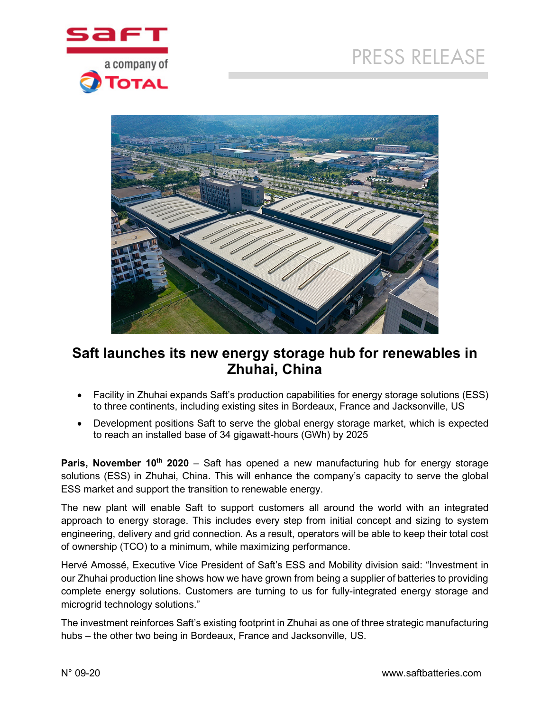



# **Saft launches its new energy storage hub for renewables in Zhuhai, China**

- Facility in Zhuhai expands Saft's production capabilities for energy storage solutions (ESS) to three continents, including existing sites in Bordeaux, France and Jacksonville, US
- Development positions Saft to serve the global energy storage market, which is expected to reach an installed base of 34 gigawatt-hours (GWh) by 2025

**Paris, November 10<sup>th</sup> 2020** – Saft has opened a new manufacturing hub for energy storage solutions (ESS) in Zhuhai, China. This will enhance the company's capacity to serve the global ESS market and support the transition to renewable energy.

The new plant will enable Saft to support customers all around the world with an integrated approach to energy storage. This includes every step from initial concept and sizing to system engineering, delivery and grid connection. As a result, operators will be able to keep their total cost of ownership (TCO) to a minimum, while maximizing performance.

Hervé Amossé, Executive Vice President of Saft's ESS and Mobility division said: "Investment in our Zhuhai production line shows how we have grown from being a supplier of batteries to providing complete energy solutions. Customers are turning to us for fully-integrated energy storage and microgrid technology solutions."

The investment reinforces Saft's existing footprint in Zhuhai as one of three strategic manufacturing hubs – the other two being in Bordeaux, France and Jacksonville, US.